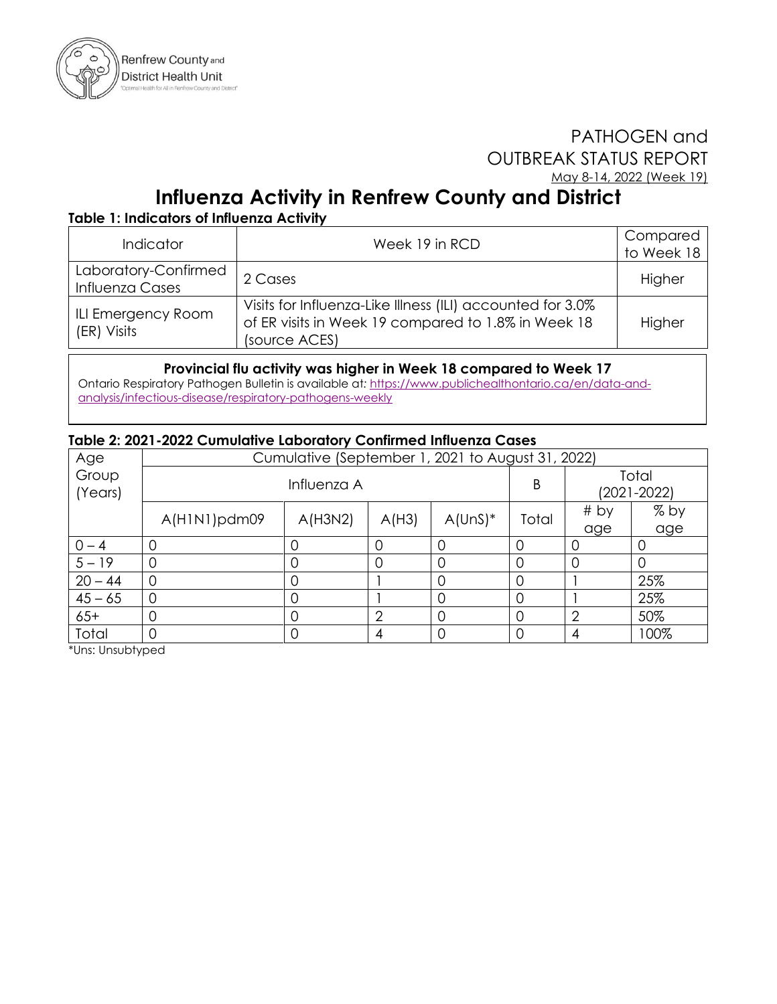

## PATHOGEN and OUTBREAK STATUS REPORT May 8-14, 2022 (Week 19)

# **Influenza Activity in Renfrew County and District**

### **Table 1: Indicators of Influenza Activity**

| <b>Indicator</b>                        | Week 19 in RCD                                                                                                                     | Compared<br>to Week 18 |
|-----------------------------------------|------------------------------------------------------------------------------------------------------------------------------------|------------------------|
| Laboratory-Confirmed<br>Influenza Cases | 2 Cases                                                                                                                            | Higher                 |
| ILI Emergency Room<br>(ER) Visits       | Visits for Influenza-Like Illness (ILI) accounted for 3.0%<br>of ER visits in Week 19 compared to 1.8% in Week 18<br>(source ACES) | Higher                 |

#### **Provincial flu activity was higher in Week 18 compared to Week 17**

Ontario Respiratory Pathogen Bulletin is available at*:* [https://www.publichealthontario.ca/en/data-and](https://www.publichealthontario.ca/en/data-and-analysis/infectious-disease/respiratory-pathogens-weekly)[analysis/infectious-disease/respiratory-pathogens-weekly](https://www.publichealthontario.ca/en/data-and-analysis/infectious-disease/respiratory-pathogens-weekly)

#### **Table 2: 2021-2022 Cumulative Laboratory Confirmed Influenza Cases**

| Age              | Cumulative (September 1, 2021 to August 31, 2022) |         |                |           |          |                          |        |  |
|------------------|---------------------------------------------------|---------|----------------|-----------|----------|--------------------------|--------|--|
| Group<br>(Years) | Influenza A                                       |         |                |           | Β        | Total<br>$(2021 - 2022)$ |        |  |
|                  | A(H1N1)pdm09                                      | A(H3N2) | A(H3)          | $A(UnS)*$ | Total    | # by                     | $%$ by |  |
|                  |                                                   |         |                |           |          | age                      | age    |  |
| $0 - 4$          |                                                   | ( )     |                |           |          | O                        |        |  |
| $5 - 19$         |                                                   | 0       | 0              | 0         | $\Omega$ | 0                        |        |  |
| $20 - 44$        | 0                                                 | 0       |                |           |          |                          | 25%    |  |
| $45 - 65$        |                                                   | 0       |                |           |          |                          | 25%    |  |
| $65+$            |                                                   | 0       | $\overline{2}$ | 0         | $\Omega$ | $\overline{2}$           | 50%    |  |
| Total            |                                                   | Ω       | 4              |           |          | 4                        | 100%   |  |

\*Uns: Unsubtyped